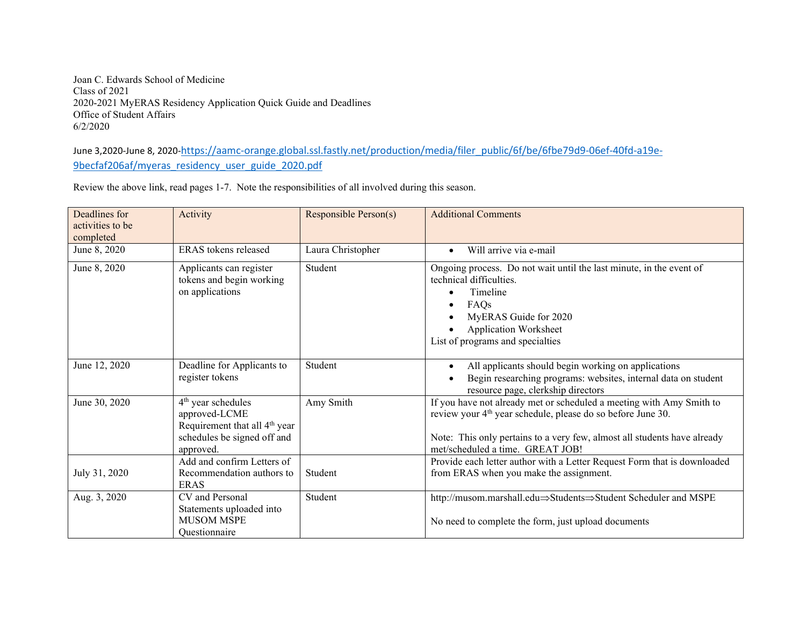Joan C. Edwards School of Medicine Class of 2021 2020-2021 MyERAS Residency Application Quick Guide and Deadlines Office of Student Affairs 6/2/2020

June 3,2020-June 8, 2020[-https://aamc-orange.global.ssl.fastly.net/production/media/filer\\_public/6f/be/6fbe79d9-06ef-40fd-a19e-](https://aamc-orange.global.ssl.fastly.net/production/media/filer_public/6f/be/6fbe79d9-06ef-40fd-a19e-9becfaf206af/myeras_residency_user_guide_2020.pdf)[9becfaf206af/myeras\\_residency\\_user\\_guide\\_2020.pdf](https://aamc-orange.global.ssl.fastly.net/production/media/filer_public/6f/be/6fbe79d9-06ef-40fd-a19e-9becfaf206af/myeras_residency_user_guide_2020.pdf)

Review the above link, read pages 1-7. Note the responsibilities of all involved during this season.

| Deadlines for<br>activities to be<br>completed | Activity                                                                                                                       | Responsible Person(s) | <b>Additional Comments</b>                                                                                                                                                                                                                                      |
|------------------------------------------------|--------------------------------------------------------------------------------------------------------------------------------|-----------------------|-----------------------------------------------------------------------------------------------------------------------------------------------------------------------------------------------------------------------------------------------------------------|
| June 8, 2020                                   | ERAS tokens released                                                                                                           | Laura Christopher     | Will arrive via e-mail<br>$\bullet$                                                                                                                                                                                                                             |
| June 8, 2020                                   | Applicants can register<br>tokens and begin working<br>on applications                                                         | Student               | Ongoing process. Do not wait until the last minute, in the event of<br>technical difficulties.<br>Timeline<br>FAQs<br>MyERAS Guide for 2020<br><b>Application Worksheet</b><br>List of programs and specialties                                                 |
| June 12, 2020                                  | Deadline for Applicants to<br>register tokens                                                                                  | Student               | All applicants should begin working on applications<br>Begin researching programs: websites, internal data on student<br>resource page, clerkship directors                                                                                                     |
| June 30, 2020                                  | $4th$ year schedules<br>approved-LCME<br>Requirement that all 4 <sup>th</sup> year<br>schedules be signed off and<br>approved. | Amy Smith             | If you have not already met or scheduled a meeting with Amy Smith to<br>review your 4 <sup>th</sup> year schedule, please do so before June 30.<br>Note: This only pertains to a very few, almost all students have already<br>met/scheduled a time. GREAT JOB! |
| July 31, 2020                                  | Add and confirm Letters of<br>Recommendation authors to<br><b>ERAS</b>                                                         | Student               | Provide each letter author with a Letter Request Form that is downloaded<br>from ERAS when you make the assignment.                                                                                                                                             |
| Aug. 3, 2020                                   | CV and Personal<br>Statements uploaded into<br><b>MUSOM MSPE</b><br>Questionnaire                                              | Student               | http://musom.marshall.edu $\Rightarrow$ Students $\Rightarrow$ Student Scheduler and MSPE<br>No need to complete the form, just upload documents                                                                                                                |